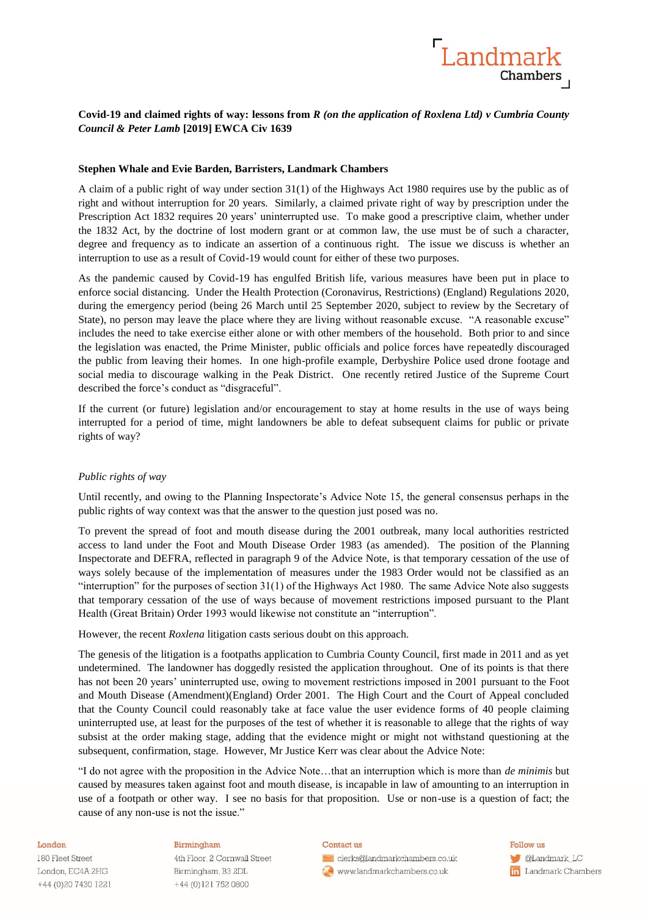

# **Covid-19 and claimed rights of way: lessons from** *R (on the application of Roxlena Ltd) v Cumbria County Council & Peter Lamb* **[2019] EWCA Civ 1639**

# **Stephen Whale and Evie Barden, Barristers, Landmark Chambers**

A claim of a public right of way under section 31(1) of the Highways Act 1980 requires use by the public as of right and without interruption for 20 years. Similarly, a claimed private right of way by prescription under the Prescription Act 1832 requires 20 years' uninterrupted use. To make good a prescriptive claim, whether under the 1832 Act, by the doctrine of lost modern grant or at common law, the use must be of such a character, degree and frequency as to indicate an assertion of a continuous right. The issue we discuss is whether an interruption to use as a result of Covid-19 would count for either of these two purposes.

As the pandemic caused by Covid-19 has engulfed British life, various measures have been put in place to enforce social distancing. Under the Health Protection (Coronavirus, Restrictions) (England) Regulations 2020, during the emergency period (being 26 March until 25 September 2020, subject to review by the Secretary of State), no person may leave the place where they are living without reasonable excuse. "A reasonable excuse" includes the need to take exercise either alone or with other members of the household. Both prior to and since the legislation was enacted, the Prime Minister, public officials and police forces have repeatedly discouraged the public from leaving their homes. In one high-profile example, Derbyshire Police used drone footage and social media to discourage walking in the Peak District. One recently retired Justice of the Supreme Court described the force's conduct as "disgraceful".

If the current (or future) legislation and/or encouragement to stay at home results in the use of ways being interrupted for a period of time, might landowners be able to defeat subsequent claims for public or private rights of way?

## *Public rights of way*

Until recently, and owing to the Planning Inspectorate's Advice Note 15, the general consensus perhaps in the public rights of way context was that the answer to the question just posed was no.

To prevent the spread of foot and mouth disease during the 2001 outbreak, many local authorities restricted access to land under the Foot and Mouth Disease Order 1983 (as amended). The position of the Planning Inspectorate and DEFRA, reflected in paragraph 9 of the Advice Note, is that temporary cessation of the use of ways solely because of the implementation of measures under the 1983 Order would not be classified as an "interruption" for the purposes of section 31(1) of the Highways Act 1980. The same Advice Note also suggests that temporary cessation of the use of ways because of movement restrictions imposed pursuant to the Plant Health (Great Britain) Order 1993 would likewise not constitute an "interruption".

However, the recent *Roxlena* litigation casts serious doubt on this approach.

The genesis of the litigation is a footpaths application to Cumbria County Council, first made in 2011 and as yet undetermined. The landowner has doggedly resisted the application throughout. One of its points is that there has not been 20 years' uninterrupted use, owing to movement restrictions imposed in 2001 pursuant to the Foot and Mouth Disease (Amendment)(England) Order 2001. The High Court and the Court of Appeal concluded that the County Council could reasonably take at face value the user evidence forms of 40 people claiming uninterrupted use, at least for the purposes of the test of whether it is reasonable to allege that the rights of way subsist at the order making stage, adding that the evidence might or might not withstand questioning at the subsequent, confirmation, stage. However, Mr Justice Kerr was clear about the Advice Note:

"I do not agree with the proposition in the Advice Note…that an interruption which is more than *de minimis* but caused by measures taken against foot and mouth disease, is incapable in law of amounting to an interruption in use of a footpath or other way. I see no basis for that proposition. Use or non-use is a question of fact; the cause of any non-use is not the issue."

#### London

180 Fleet Street London, EC4A 2HG +44 (0) 20 7430 1221

### Birmingham

4th Floor, 2 Cornwall Street Birmingham, B3 2DL +44 (0)121 752 0800

#### Contact us

clerks@landmarkchambers.co.uk www.landmarkchambers.co.uk

Follow us **C**Landmark\_LC **in** Landmark Chambers